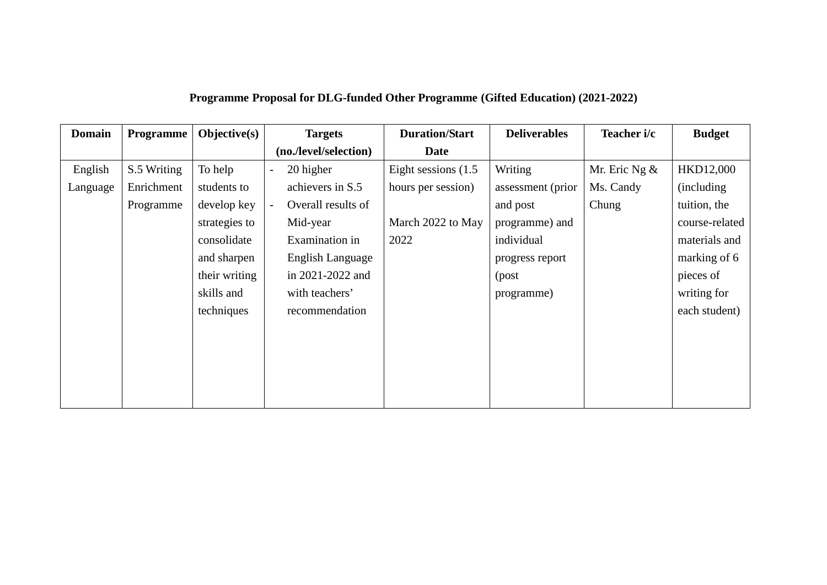| <b>Domain</b> | <b>Programme</b> | $Objective(s)$ | <b>Targets</b>                                 | <b>Duration/Start</b>  | <b>Deliverables</b> | Teacher i/c     | <b>Budget</b>  |
|---------------|------------------|----------------|------------------------------------------------|------------------------|---------------------|-----------------|----------------|
|               |                  |                | (no./level/selection)                          | <b>Date</b>            |                     |                 |                |
| English       | S.5 Writing      | To help        | 20 higher<br>$\overline{\phantom{0}}$          | Eight sessions $(1.5)$ | Writing             | Mr. Eric Ng $&$ | HKD12,000      |
| Language      | Enrichment       | students to    | achievers in S.5                               | hours per session)     | assessment (prior   | Ms. Candy       | (including)    |
|               | Programme        | develop key    | Overall results of<br>$\overline{\phantom{0}}$ |                        | and post            | Chung           | tuition, the   |
|               |                  | strategies to  | Mid-year                                       | March 2022 to May      | programme) and      |                 | course-related |
|               |                  | consolidate    | Examination in                                 | 2022                   | individual          |                 | materials and  |
|               |                  | and sharpen    | English Language                               |                        | progress report     |                 | marking of 6   |
|               |                  | their writing  | in 2021-2022 and                               |                        | (post               |                 | pieces of      |
|               |                  | skills and     | with teachers'                                 |                        | programme)          |                 | writing for    |
|               |                  | techniques     | recommendation                                 |                        |                     |                 | each student)  |
|               |                  |                |                                                |                        |                     |                 |                |
|               |                  |                |                                                |                        |                     |                 |                |
|               |                  |                |                                                |                        |                     |                 |                |
|               |                  |                |                                                |                        |                     |                 |                |
|               |                  |                |                                                |                        |                     |                 |                |

## **Programme Proposal for DLG-funded Other Programme (Gifted Education) (2021-2022)**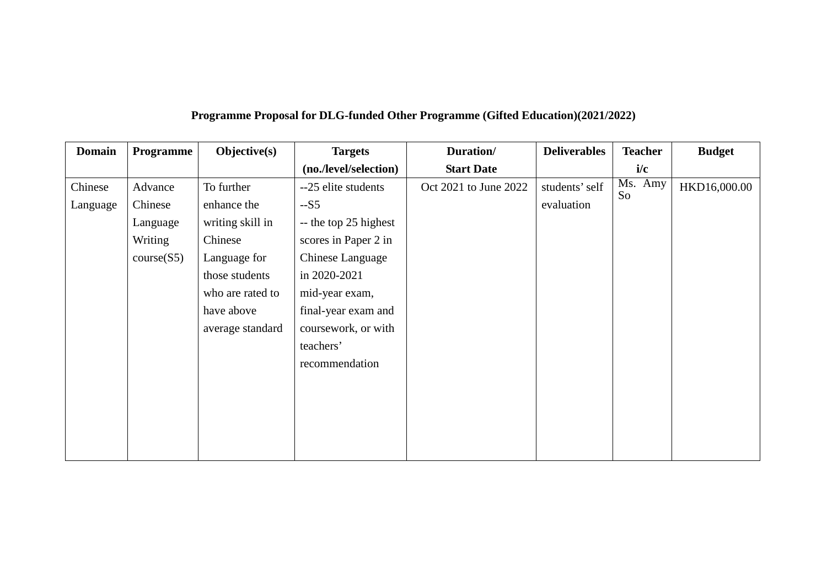| <b>Domain</b> | Programme  | $Objective(s)$   | <b>Targets</b>        | Duration/             | <b>Deliverables</b> | <b>Teacher</b> | <b>Budget</b> |
|---------------|------------|------------------|-----------------------|-----------------------|---------------------|----------------|---------------|
|               |            |                  | (no./level/selection) | <b>Start Date</b>     |                     | i/c            |               |
| Chinese       | Advance    | To further       | --25 elite students   | Oct 2021 to June 2022 | students' self      | Ms. Amy        | HKD16,000.00  |
| Language      | Chinese    | enhance the      | $-S5$                 |                       | evaluation          | So             |               |
|               | Language   | writing skill in | -- the top 25 highest |                       |                     |                |               |
|               | Writing    | Chinese          | scores in Paper 2 in  |                       |                     |                |               |
|               | course(S5) | Language for     | Chinese Language      |                       |                     |                |               |
|               |            | those students   | in 2020-2021          |                       |                     |                |               |
|               |            | who are rated to | mid-year exam,        |                       |                     |                |               |
|               |            | have above       | final-year exam and   |                       |                     |                |               |
|               |            | average standard | coursework, or with   |                       |                     |                |               |
|               |            |                  | teachers'             |                       |                     |                |               |
|               |            |                  | recommendation        |                       |                     |                |               |
|               |            |                  |                       |                       |                     |                |               |
|               |            |                  |                       |                       |                     |                |               |
|               |            |                  |                       |                       |                     |                |               |
|               |            |                  |                       |                       |                     |                |               |
|               |            |                  |                       |                       |                     |                |               |

## **Programme Proposal for DLG-funded Other Programme (Gifted Education)(2021/2022)**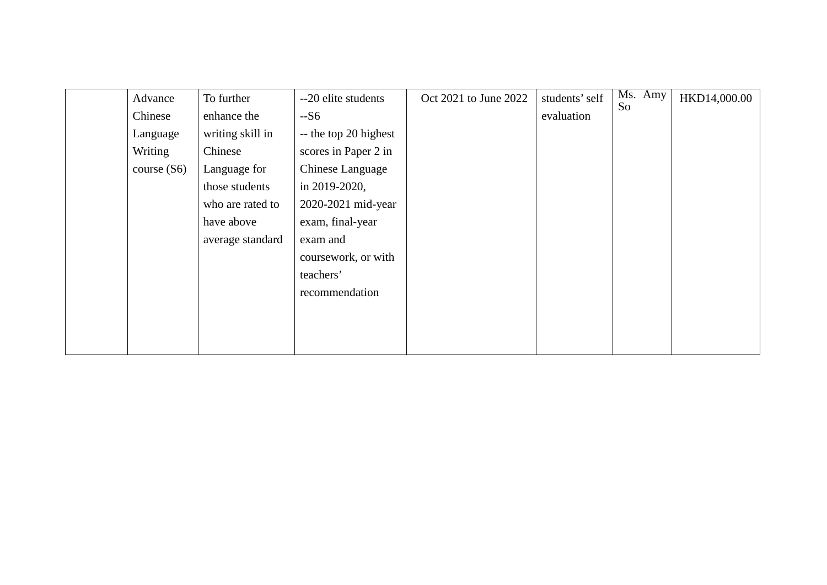| Advance       | To further       | --20 elite students   | Oct 2021 to June 2022 | students' self | Ms. Amy | HKD14,000.00 |
|---------------|------------------|-----------------------|-----------------------|----------------|---------|--------------|
| Chinese       | enhance the      | $-S6$                 |                       | evaluation     | So      |              |
| Language      | writing skill in | -- the top 20 highest |                       |                |         |              |
| Writing       | Chinese          | scores in Paper 2 in  |                       |                |         |              |
| course $(S6)$ | Language for     | Chinese Language      |                       |                |         |              |
|               | those students   | in 2019-2020,         |                       |                |         |              |
|               | who are rated to | 2020-2021 mid-year    |                       |                |         |              |
|               | have above       | exam, final-year      |                       |                |         |              |
|               | average standard | exam and              |                       |                |         |              |
|               |                  | coursework, or with   |                       |                |         |              |
|               |                  | teachers'             |                       |                |         |              |
|               |                  | recommendation        |                       |                |         |              |
|               |                  |                       |                       |                |         |              |
|               |                  |                       |                       |                |         |              |
|               |                  |                       |                       |                |         |              |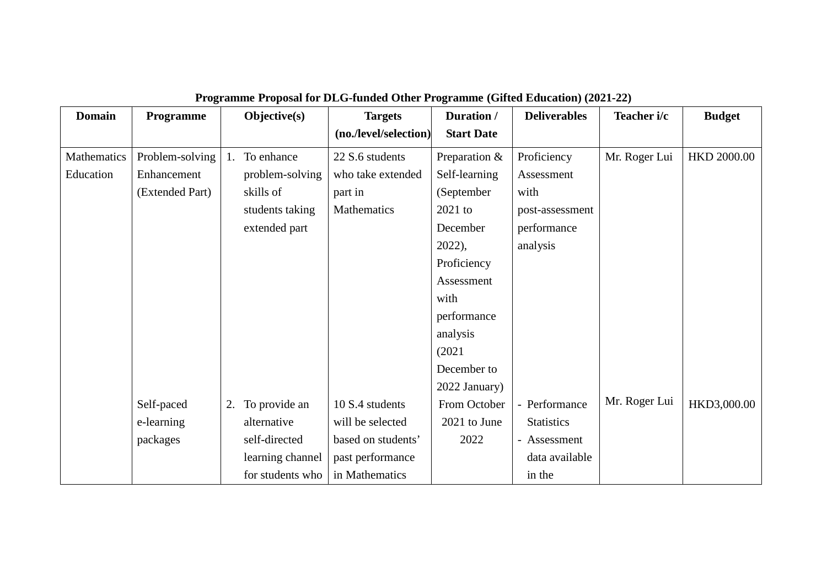| <b>Domain</b> | Programme       | Objective(s) |                  | <b>Targets</b>        | Duration /        | <b>Deliverables</b> | Teacher i/c   | <b>Budget</b>      |
|---------------|-----------------|--------------|------------------|-----------------------|-------------------|---------------------|---------------|--------------------|
|               |                 |              |                  | (no./level/selection) | <b>Start Date</b> |                     |               |                    |
| Mathematics   | Problem-solving | 1.           | To enhance       | 22 S.6 students       | Preparation &     | Proficiency         | Mr. Roger Lui | <b>HKD 2000.00</b> |
| Education     | Enhancement     |              | problem-solving  | who take extended     | Self-learning     | Assessment          |               |                    |
|               | (Extended Part) |              | skills of        | part in               | (September        | with                |               |                    |
|               |                 |              | students taking  | Mathematics           | 2021 to           | post-assessment     |               |                    |
|               |                 |              | extended part    |                       | December          | performance         |               |                    |
|               |                 |              |                  |                       | $2022$ ),         | analysis            |               |                    |
|               |                 |              |                  |                       | Proficiency       |                     |               |                    |
|               |                 |              |                  |                       | Assessment        |                     |               |                    |
|               |                 |              |                  |                       | with              |                     |               |                    |
|               |                 |              |                  |                       | performance       |                     |               |                    |
|               |                 |              |                  |                       | analysis          |                     |               |                    |
|               |                 |              |                  |                       | (2021)            |                     |               |                    |
|               |                 |              |                  |                       | December to       |                     |               |                    |
|               |                 |              |                  |                       | 2022 January)     |                     |               |                    |
|               | Self-paced      | 2.           | To provide an    | 10 S.4 students       | From October      | - Performance       | Mr. Roger Lui | HKD3,000.00        |
|               | e-learning      |              | alternative      | will be selected      | 2021 to June      | <b>Statistics</b>   |               |                    |
|               | packages        |              | self-directed    | based on students'    | 2022              | - Assessment        |               |                    |
|               |                 |              | learning channel | past performance      |                   | data available      |               |                    |
|               |                 |              | for students who | in Mathematics        |                   | in the              |               |                    |

## **Programme Proposal for DLG-funded Other Programme (Gifted Education) (2021-22)**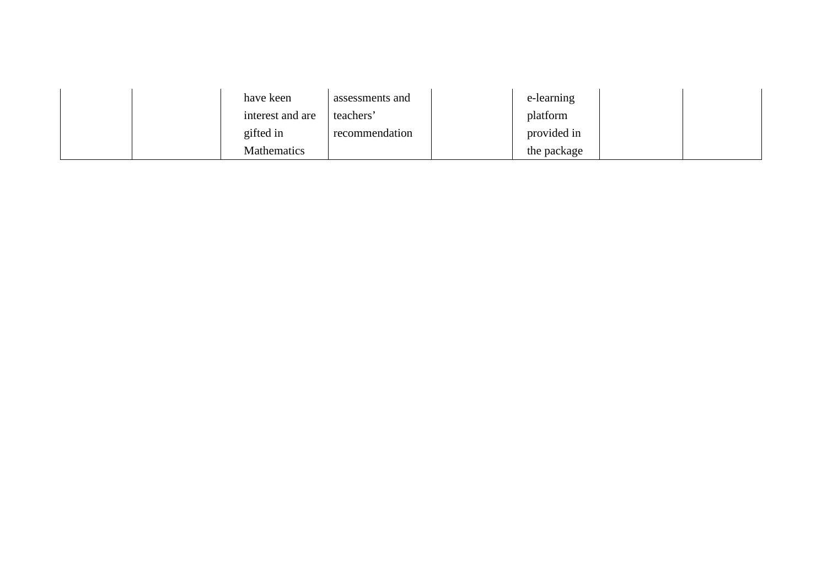|  | have keen          | assessments and | e-learning  |  |
|--|--------------------|-----------------|-------------|--|
|  | interest and are   | teachers        | platform    |  |
|  | gifted in          | recommendation  | provided in |  |
|  | <b>Mathematics</b> |                 | the package |  |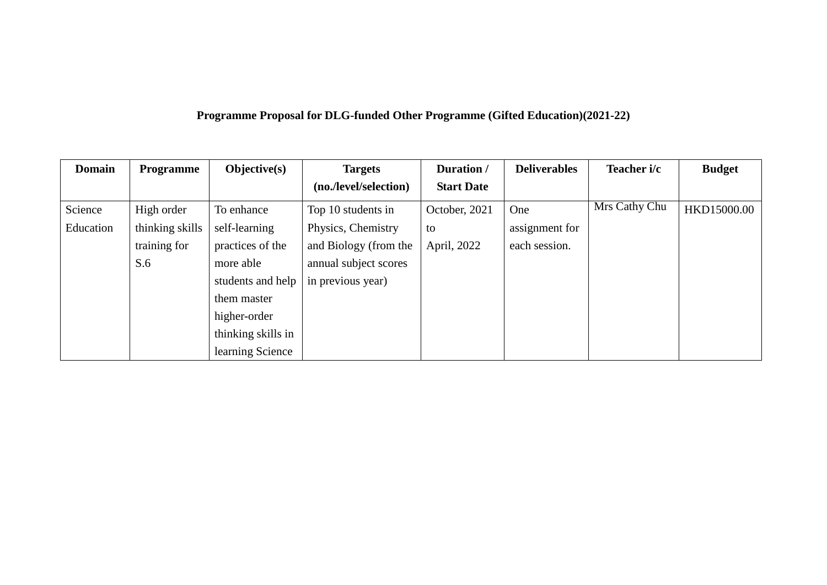## **Programme Proposal for DLG-funded Other Programme (Gifted Education)(2021-22)**

| <b>Domain</b> | <b>Programme</b> | $Objective(s)$     | <b>Targets</b>        | Duration /        | <b>Deliverables</b> | Teacher i/c   | <b>Budget</b> |
|---------------|------------------|--------------------|-----------------------|-------------------|---------------------|---------------|---------------|
|               |                  |                    | (no./level/selection) | <b>Start Date</b> |                     |               |               |
| Science       | High order       | To enhance         | Top 10 students in    | October, 2021     | One                 | Mrs Cathy Chu | HKD15000.00   |
| Education     | thinking skills  | self-learning      | Physics, Chemistry    | to                | assignment for      |               |               |
|               | training for     | practices of the   | and Biology (from the | April, 2022       | each session.       |               |               |
|               | S.6              | more able          | annual subject scores |                   |                     |               |               |
|               |                  | students and help  | in previous year)     |                   |                     |               |               |
|               |                  | them master        |                       |                   |                     |               |               |
|               |                  | higher-order       |                       |                   |                     |               |               |
|               |                  | thinking skills in |                       |                   |                     |               |               |
|               |                  | learning Science   |                       |                   |                     |               |               |